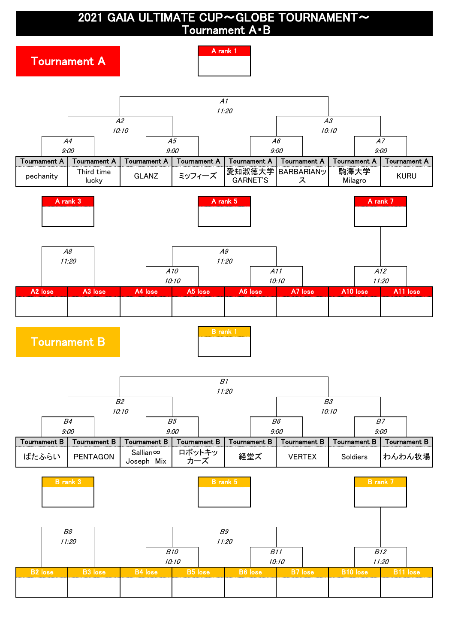2021 GAIA ULTIMATE CUP~GLOBE TOURNAMENT~ Tournament A・B

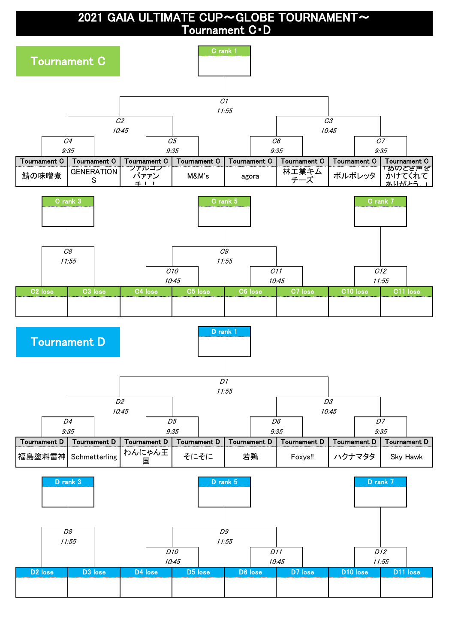2021 GAIA ULTIMATE CUP~GLOBE TOURNAMENT~ Tournament C・D

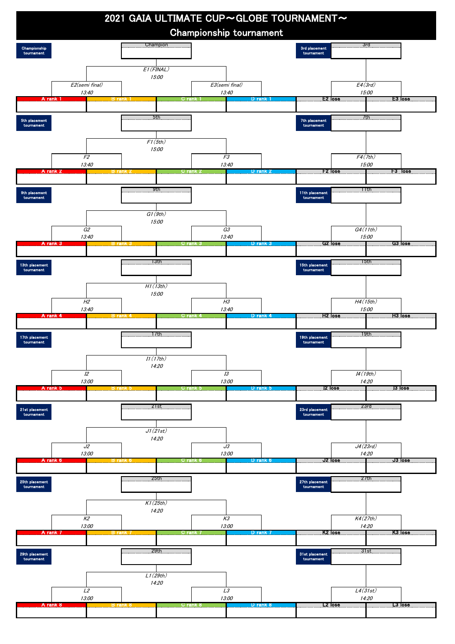